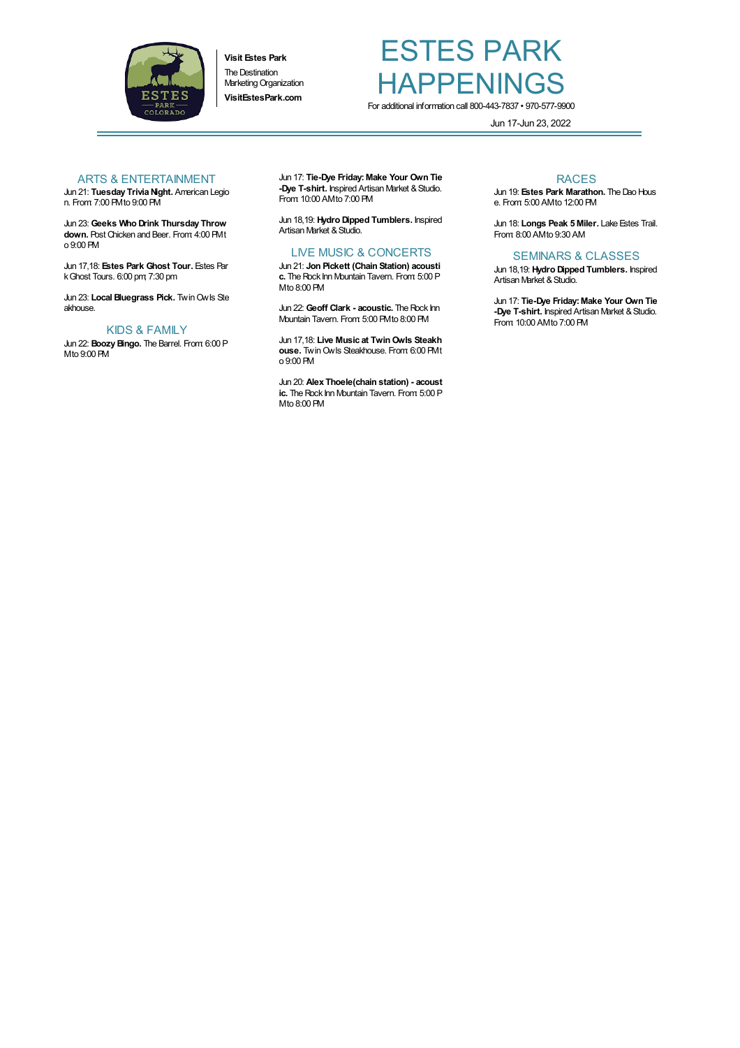

**Visit Estes Park** The Destination Marketing Organization **VisitEstesPark.com**

## ESTES PARK **HAPPENINGS** For additional information call 800-443-7837 • 970-577-9900

Jun 17-Jun 23, 2022

### ARTS & ENTERTAINMENT

Jun 21: **Tuesday TriviaNight.** American Legio n. From: 7:00 PMto 9:00 PM

Jun 23: **Geeks Who Drink Thursday Throw down.** Post Chicken and Beer. From: 4:00 PMt o 9:00 PM

Jun 17,18: **Estes Park Ghost Tour.** Estes Par kGhost Tours. 6:00 pm; 7:30 pm

Jun 23: **Local Bluegrass Pick.** TwinOwls Ste akhouse.

#### KIDS & FAMILY

Jun 22: **BoozyBingo.** The Barrel. From: 6:00 P Mto 9:00 PM

Jun 17: **Tie-Dye Friday:Make Your Own Tie -Dye T-shirt.** Inspired Artisan Market & Studio. From: 10:00 AMto 7:00 PM

Jun 18,19: **Hydro Dipped Tumblers.** Inspired Artisan Market & Studio.

## LIVE MUSIC & CONCERTS

Jun 21: **Jon Pickett (Chain Station) acousti c.** The Rock Inn Mountain Tavern. From: 5:00 P Mto 8:00 PM

Jun 22: Geoff Clark **-** acoustic. The Rock Inn Mountain Tavern. From: 5:00 PMto 8:00 PM

Jun 17,18: **Live Music at TwinOwls Steakh ouse.** TwinOwls Steakhouse. From: 6:00 PMt o 9:00 PM

Jun 20: **Alex Thoele(chain station) - acoust** ic. The Rock Inn Mountain Tavern. From 5:00 P Mto 8:00 PM

#### RACES

Jun 19: Estes Park Marathon. The Dao Hous e. From: 5:00 AMto 12:00 PM

Jun 18: **Longs Peak 5 Miler.** Lake Estes Trail. From: 8:00 AMto 9:30 AM

### SEMINARS & CLASSES

Jun 18,19: **Hydro Dipped Tumblers.** Inspired Artisan Market & Studio.

Jun 17: **Tie-Dye Friday:Make Your Own Tie -Dye T-shirt.** Inspired Artisan Market & Studio. From: 10:00 AMto 7:00 PM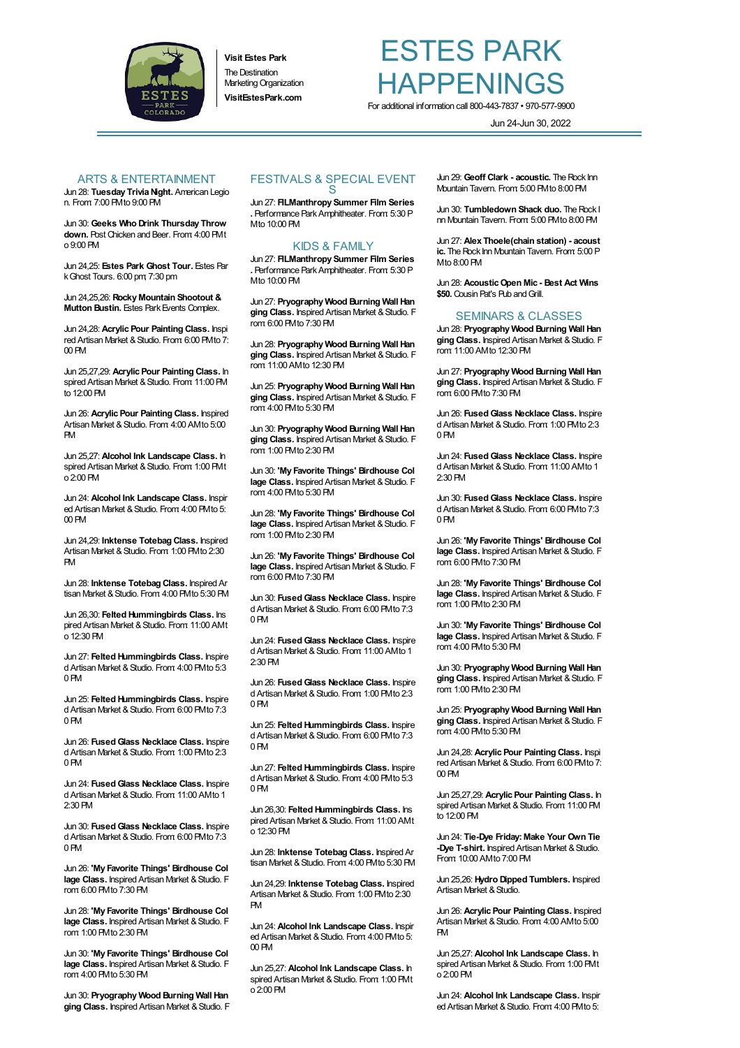

**Visit Estes Park The Destination** Marketing Organization **VisitEstesPark.com**

# ESTES PARK HAPPENINGS For additional information call 800-443-7837 • 970-577-9900

Jun 24-Jun 30, 2022

#### ARTS & ENTERTAINMENT

Jun 28: **Tuesday TriviaNight.** American Legio n. From: 7:00 PMto 9:00 PM

Jun 30: **Geeks Who Drink Thursday Throw down.** Post Chicken and Beer. From: 4:00 PMt o 9:00 PM

Jun 24,25: **Estes Park Ghost Tour.** Estes Par kGhost Tours. 6:00 pm; 7:30 pm

Jun 24,25,26: **Rocky Mountain Shootout & Mutton Bustin.** Estes Park Events Complex.

Jun 24,28: **Acrylic Pour Painting Class.** Inspi red Artisan Market & Studio. From: 6:00 PMto 7: 00 PM

Jun 25,27,29: **Acrylic Pour Painting Class.** In spired Artisan Market & Studio. From: 11:00 PM to 12:00 PM

Jun 26: **Acrylic Pour Painting Class.** Inspired Artisan Market & Studio. From 4:00 AMto 5:00 PM

Jun 25,27: **Alcohol Ink Landscape Class.** In spired Artisan Market & Studio. From 1:00 PMt o 2:00 PM

Jun 24: **Alcohol Ink Landscape Class.** Inspir ed Artisan Market & Studio. From 4:00 PM to 5: 00 PM

Jun 24,29: **Inktense Totebag Class.** Inspired Artisan Market & Studio. From 1:00 PMto 2:30 PM

Jun 28: **Inktense Totebag Class.** Inspired Ar tisan Market & Studio. From 4:00 PMto 5:30 PM

Jun 26,30: **Felted Hummingbirds Class.** Ins pired Artisan Market & Studio. From: 11:00 AMt  $0.12:30$  PM

Jun 27: **Felted Hummingbirds Class.** Inspire d Artisan Market & Studio. From 4:00 PM to 5:3 0 PM

Jun 25: **Felted Hummingbirds Class.** Inspire d Artisan Market & Studio. From: 6:00 PM to 7:3 0 PM

Jun 26: **FusedGlass Necklace Class.** Inspire d Artisan Market & Studio. From 1:00 PM to 2:3 0 PM

Jun 24: **FusedGlass Necklace Class.** Inspire d Artisan Market & Studio. From 11:00 AMto 1 2:30 PM

Jun 30: **FusedGlass Necklace Class.** Inspire d Artisan Market & Studio. From: 6:00 PM to 7:3 0 PM

Jun 26: **'My Favorite Things' Birdhouse Col** lage Class. Inspired Artisan Market & Studio. F rom: 6:00 PMto 7:30 PM

Jun 28: **'My Favorite Things' Birdhouse Col lage Class.** Inspired Artisan Market & Studio. F rom: 1:00 PMto 2:30 PM

Jun 30: **'My Favorite Things' Birdhouse Col** lage Class. Inspired Artisan Market & Studio. F rom: 4:00 PMto 5:30 PM

Jun 30: **Pryography Wood Burning Wall Han** ging Class. Inspired Artisan Market & Studio. F

#### FESTIVALS & SPECIAL EVENT S

Jun 27: **FILManthropy Summer Film Series .** Performance ParkAmphitheater. From: 5:30 P Mto 10:00 PM

### KIDS & FAMILY

Jun 27: **FILManthropy Summer Film Series .** Performance ParkAmphitheater. From: 5:30 P Mto 10:00 PM

Jun 27: **Pryography Wood Burning Wall Han** ging Class. Inspired Artisan Market & Studio. F rom: 6:00 PMto 7:30 PM

Jun 28: **Pryography Wood Burning Wall Han** ging Class. Inspired Artisan Market & Studio. F rom: 11:00 AMto 12:30 PM

Jun 25: **Pryography Wood Burning Wall Han** ging Class. Inspired Artisan Market & Studio. F rom: 4:00 PMto 5:30 PM

Jun 30: **Pryography Wood Burning Wall Han** ging Class. Inspired Artisan Market & Studio. F rom: 1:00 PMto 2:30 PM

Jun 30: **'My Favorite Things' Birdhouse Col** lage Class. Inspired Artisan Market & Studio. F rom: 4:00 PMto 5:30 PM

Jun 28: **'My Favorite Things' Birdhouse Col** lage Class. Inspired Artisan Market & Studio. F rom: 1:00 PMto 2:30 PM

Jun 26: **'My Favorite Things' Birdhouse Col** lage Class. Inspired Artisan Market & Studio. F rom: 6:00 PMto 7:30 PM

Jun 30: **FusedGlass Necklace Class.** Inspire d Artisan Market & Studio. From: 6:00 PM to 7:3 0 PM

Jun 24: **FusedGlass Necklace Class.** Inspire d Artisan Market &Studio. From: 11:00 AMto 1 2:30 PM

Jun 26: **FusedGlass Necklace Class.** Inspire d Artisan Market & Studio. From: 1:00 PMto 2:3 0 PM

Jun 25: **Felted Hummingbirds Class.** Inspire d Artisan Market & Studio. From: 6:00 PM to 7:3 0 PM

Jun 27: **Felted Hummingbirds Class.** Inspire d Artisan Market & Studio. From 4:00 PM to 5:3 0 PM

Jun 26,30: **Felted Hummingbirds Class.** Ins pired Artisan Market & Studio. From: 11:00 AMt o 12:30 PM

Jun 28: **Inktense Totebag Class.** Inspired Ar tisan Market & Studio. From 4:00 PMto 5:30 PM

Jun 24,29: **Inktense Totebag Class.** Inspired Artisan Market & Studio. From 1:00 PMto 2:30 PM

Jun 24: **Alcohol Ink Landscape Class.** Inspir ed Artisan Market & Studio. From 4:00 PM to 5: 00 PM

Jun 25,27: **Alcohol Ink Landscape Class.** In spired Artisan Market & Studio. From 1:00 PMt o 2:00 PM

Jun 29: **Geoff Clark - acoustic.** TheRock Inn Mountain Tavern. From: 5:00 PMto 8:00 PM

Jun 30: Tumbledown Shack duo. The Rock I nn Mountain Tavern. From: 5:00 PMto 8:00 PM

Jun 27: **Alex Thoele(chain station) - acoust** ic. The Rock Inn Mountain Tavern. From: 5:00 P Mto 8:00 PM

Jun 28: **AcousticOpen Mic - Best Act Wins \$50.** Cousin Pat's Pub and Grill.

#### SEMINARS & CLASSES

Jun 28: **Pryography Wood Burning Wall Han** ging Class. Inspired Artisan Market & Studio. F rom: 11:00 AMto 12:30 PM

Jun 27: **Pryography Wood Burning Wall Han** ging Class. Inspired Artisan Market & Studio. F rom: 6:00 PMto 7:30 PM

Jun 26: **FusedGlass Necklace Class.** Inspire d Artisan Market & Studio. From: 1:00 PM to 2:3 0 PM

Jun 24: **FusedGlass Necklace Class.** Inspire d Artisan Market & Studio. From 11:00 AMto 1 2:30 PM

Jun 30: **FusedGlass Necklace Class.** Inspire d Artisan Market & Studio. From: 6:00 PMto 7:3 0 PM

Jun 26: **'My Favorite Things' Birdhouse Col** lage Class. Inspired Artisan Market & Studio. F rom: 6:00 PMto 7:30 PM

Jun 28: **'My Favorite Things' Birdhouse Col lage Class.** Inspired Artisan Market & Studio. F rom: 1:00 PMto 2:30 PM

Jun 30: **'My Favorite Things' Birdhouse Col lage Class.** Inspired Artisan Market & Studio. F rom: 4:00 PMto 5:30 PM

Jun 30: **Pryography Wood Burning Wall Han** ging Class. Inspired Artisan Market & Studio. F rom: 1:00 PMto 2:30 PM

Jun 25: **Pryography Wood Burning Wall Han** ging Class. Inspired Artisan Market & Studio. F rom: 4:00 PMto 5:30 PM

Jun 24,28: **Acrylic Pour Painting Class.** Inspi red Artisan Market & Studio. From 6:00 PMto 7: 00 PM

Jun 25,27,29: **Acrylic Pour Painting Class.** In spired Artisan Market & Studio. From: 11:00 PM to 12:00 PM

Jun 24: **Tie-Dye Friday:Make Your Own Tie -Dye T-shirt.** Inspired Artisan Market & Studio. From: 10:00 AMto 7:00 PM

Jun 25,26: **Hydro Dipped Tumblers.** Inspired Artisan Market & Studio.

Jun 26: **Acrylic Pour Painting Class.** Inspired Artisan Market & Studio. From 4:00 AMto 5:00 PM

Jun 25,27: **Alcohol Ink Landscape Class.** In spired Artisan Market & Studio. From: 1:00 PMt o 2:00 PM

Jun 24: **Alcohol Ink Landscape Class.** Inspir ed Artisan Market & Studio. From 4:00 PM to 5: